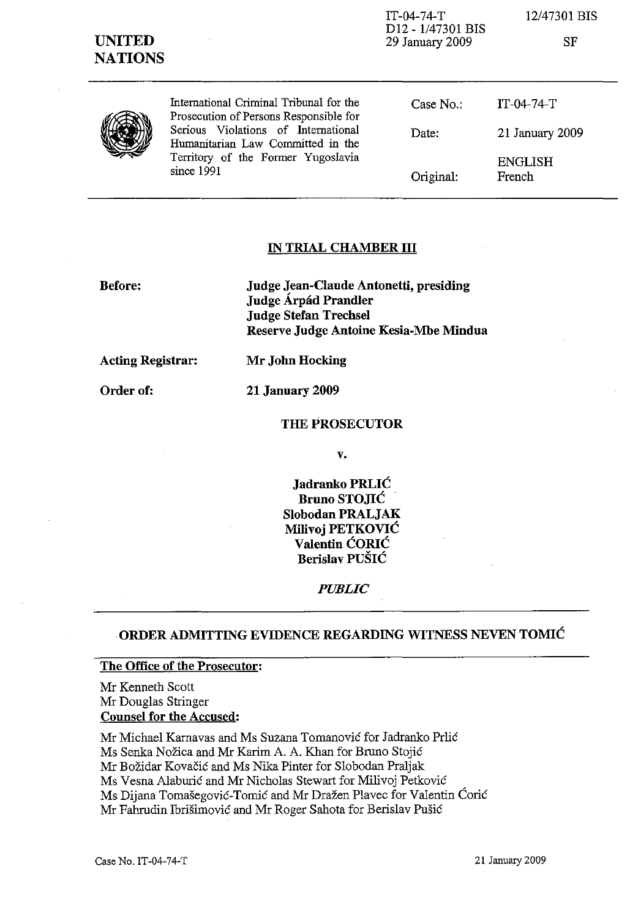| <b>UNITED</b><br><b>NATIONS</b> |                                                                                                                              | $IT-04-74-T$<br>D12 - 1/47301 BIS<br>29 January 2009 | 12/47301 BIS<br>SF       |
|---------------------------------|------------------------------------------------------------------------------------------------------------------------------|------------------------------------------------------|--------------------------|
|                                 | International Criminal Tribunal for the<br>Prosecution of Persons Responsible for                                            | Case $No.$ :                                         | $IT-04-74-T$             |
|                                 | Serious Violations of International<br>Humanitarian Law Committed in the<br>Territory of the Former Yugoslavia<br>since 1991 | Date:                                                | 21 January 2009          |
|                                 |                                                                                                                              | Original:                                            | <b>ENGLISH</b><br>French |

#### IN TRIAL CHAMBER **III**

Before:

Judge Jean-Claude Antonetti, presiding Judge Árpád Prandler Judge Stefan Trechsel Reserve Judge Antoine Kesia-Mbe Mindua

Acting Registrar:

Order of:

21 January 2009

Mr John Hocking

#### THE PROSECUTOR

v.

Jadranko PRLIC Bruno STOJIC Siobodan PRALJAK Milivoj PETKOVIC Valentin CORIC Berislav PUSIC

*PUBLIC*

#### .ORDER ADMITTING EVIDENCE REGARDING WITNESS NEVEN TOMIC

#### The Office of the Prosecutor:

Mr Kenneth Scott Mr Douglas Stringer Counsel for the Accused:

Mr Michael Kamavas and Ms Suzana Tomanovic for Jadranko Prlic Ms Senka Nožica and Mr Karim A. A. Khan for Bruno Stojić Mr Bozidar Kovacic and Ms Nika Pinter for Slobodan Praljak Ms Vesna Alaburic and Mr Nicholas Stewart for Milivoj Petkovic Ms Dijana Tomasegovic-Tomic and Mr Drazen Plavec for Valentin Coric Mr Falrrudin Ibrisimovic and Mr Roger Sahota for Berislav Pusic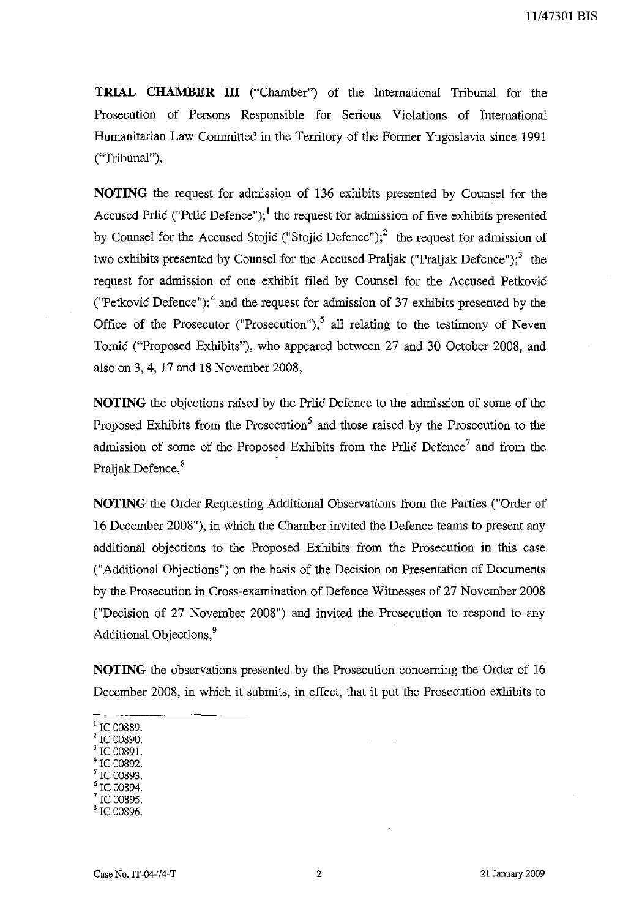**TRIAL CHAMBER III** ("Chamber") of the International Tribunal for the Prosecution of Persons Responsible for Serious Violations of International Humanitarian Law Committed in the Territory of the Former Yugoslavia since 1991 ("Tribunal"),

**NOTING** the request for admission of 136 exhibits presented by Counsel for the Accused Prlic ("Prlic Defence");<sup>1</sup> the request for admission of five exhibits presented by Counsel for the Accused Stojic ("Stojic Defence");<sup>2</sup> the request for admission of two exhibits presented by Counsel for the Accused Praljak ("Praljak Defence");<sup>3</sup> the request for admission of one exhibit filed by Counsel for the Accused Petkovic ("Petkovic Defence");<sup>4</sup> and the request for admission of 37 exhibits presented by the Office of the Prosecutor ("Prosecution"),<sup>5</sup> all relating to the testimony of Neven Tomic ("Proposed Exhibits"), who appeared between 27 and 30 October 2008, and also on 3, 4,17 and 18 November 2008,

**NOTING** the objections raised by the Prlic Defence to the admission of some of the Proposed Exhibits from the Prosecution<sup>6</sup> and those raised by the Prosecution to the admission of some of the Proposed Exhibits from the Prlic Defence? and from the Praljak Defence, <sup>8</sup>

**NOTING** the Order Requesting Additional Observations from the Parties ("Order of 16 December 2008"), in which the Chamber invited the Defence teams to present any additional objections to the Proposed Exhibits from the Prosecution in this case ("Additional Objections") on the basis of the Decision on Presentation of Documents by the Prosecution in Cross-examination of Defence Witnesses of 27 November 2008 ("Decision of 27 November 2008") and invited the Prosecution to respond to any Additional Objections.<sup>9</sup>

**NQTING** the observations presented by the Prosecution concerning the Order of 16 December 2008, in which it submits, in effect, that it put the Prosecution exhibits to

- <sup>2</sup> IC 00890.
- $^3$  IC 00891.
- <sup>4</sup> IC 00892.  $\frac{5}{5}$  IC 00893.
- $^{\circ}$  IC 00894.
- IC 00895.
- <sup>8</sup> IC 00896.

IC 00889.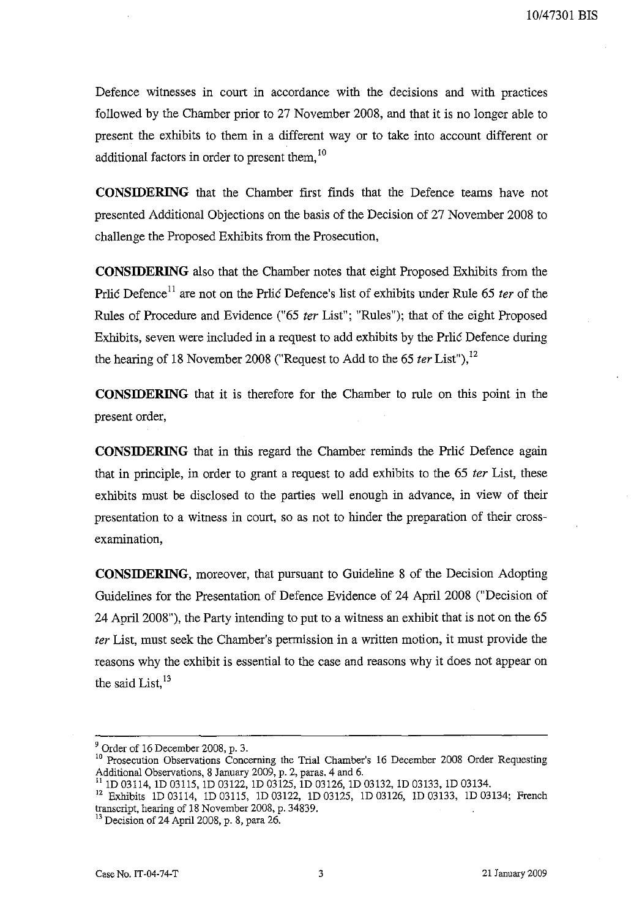Defence witnesses in court in accordance with the decisions and with practices followed by the Chamber prior to 27 November 2008, and that it is no longer able to present the exhibits to them in a different way or to take into account different or additional factors in order to present them.<sup>10</sup>

**CONSIDERING** that the Chamber first finds that the Defence teams have not presented Additional Objections on the basis of the Decision of 27 November 2008 to challenge the Proposed Exhibits from the Prosecution,

**CONSIDERING** also that the Chamber notes that eight Proposed Exhibits from the Prlic Defence<sup>11</sup> are not on the Prlic Defence's list of exhibits under Rule 65 ter of the Rules of Procedure and Evidence ("65 fer List"; "Rules"); that of the eight Proposed Exhibits, seven were included in a request to add exhibits by the Prlic Defence during the hearing of 18 November 2008 ("Request to Add to the 65  $ter$  List"),<sup>12</sup>

**CONSIDERING** that it is therefore for the Chamber to rule on this point in the present order,

**CONSIDERING** that in this regard the Chamber reminds the Prlic Defence again that in principle, in order to grant a request to add exhibits to the 65 *ter* List, these exhibits must be disclosed to the parties well enough in advance, in view of their presentation to a witness in court, so as not to hinder the preparation of their crossexamination,

**CONSIDERING,** moreover, that pursuant to Guideline 8 of the Decision Adopting Guidelines for the Presentation of Defence Evidence of 24 April 2008 ("Decision of 24 April 2008"), the Party intending to put to a witness an exhibit that is not on the 65 fer List, must seek the Chamber's permission in a written motion, it must provide the reasons why the exhibit is essential to the case and reasons why it does not appear on the said List. $^{13}$ 

 $9$  Order of 16 December 2008, p. 3.

<sup>&</sup>lt;sup>10</sup> Prosecution Observations Concerning the Trial Chamber's 16 December 2008 Order Requesting Additional Observations, 8 January 2009, p. 2, paras. 4 and 6.

<sup>11</sup> 1D 03114, 1D 03115, 1D 03122, 1D 03125, 1D 03126, 1D 03132, 1D 03133, 1D 03134.

<sup>&</sup>lt;sup>12</sup> Exhibits 1D 03114, 1D 03115, 1D 03122, 1D 03125, 1D 03126, 1D 03133, 1D 03134; French transcript, hearing of 18 November 2008, p. 34839.

<sup>&</sup>lt;sup>13</sup> Decision of 24 April 2008, p. 8, para 26.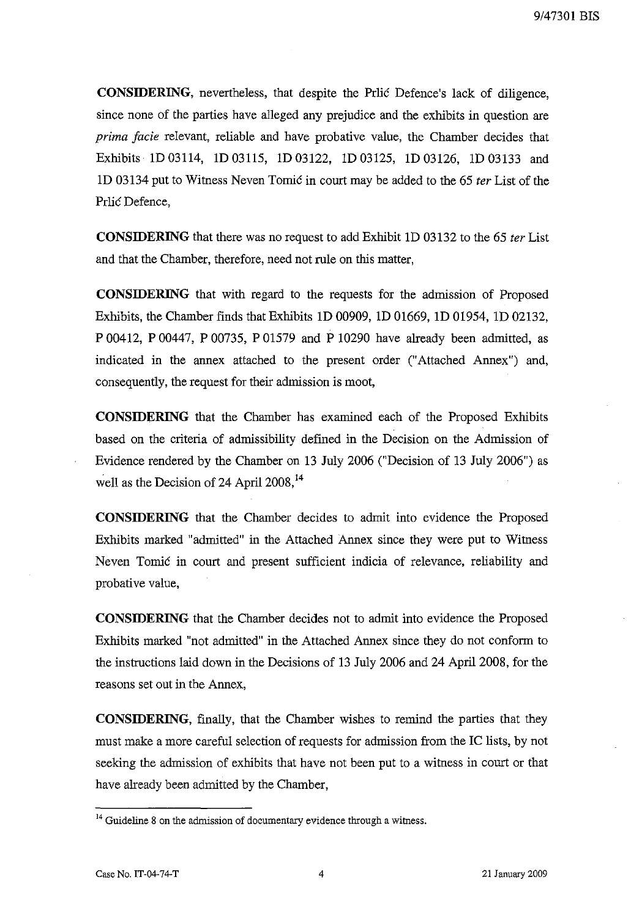**CONSIDERING,** nevertheless, that despite the Prlic Defence's lack of diligence, since none of the parties have alleged any prejudice and the exhibits in question are *prima facie* relevant, reliable and have probative value, the Chamber decides that Exhibits ID 03114, ID 03115, ID 03122, ID 03125, ID 03126, ID 03133 and **1D** 03134 put to Witness Neven Tomic in court may be added to the 65 *ter* List of the Prlic Defence,

**CONSIDERING** that there was no request to add Exhibit **1D** 03132 to the 65 *ter* List and that the Chamber, therefore, need not rule on this matter,

**CONSIDERING** that with regard to the requests for the admission of Proposed Exhibits, the Chamber finds that Exhibits ID 00909, ID 01669, ID 01954, ID 02132, P 00412, P 00447, P 00735, P 01579 and P 10290 have already been admitted, as indicated in the annex attached to the present order ("Attached Annex") and, consequently, the request for their admission is moot,

**CONSIDERING** that the Chamber has examined each of the Proposed Exhibits based on the criteria of admissibility defined in the Decision on the Admission of Evidence rendered by the Chamber on 13 July 2006 ("Decision of 13 July 2006") as well as the Decision of 24 April  $2008$ ,<sup>14</sup>

**CONSIDERING** that the Chamber decides to admit into evidence the Proposed Exhibits marked "admitted" in the Attached Annex since they were put to Witness Neven Tomic in court and present sufficient indicia of relevance, reliability and probative value,

**CONSIDERING** that the Chamber decides not to admit into evidence the Proposed Exhibits marked "not admitted" in the Attached Annex since they do not conform to the instructions laid down in the Decisions of 13 July 2006 and 24 April 2008, for the reasons set out in the Annex,

**CONSIDERING,** finally, that the Chamber wishes to remind the parties that they must make a more careful selection of requests for admission from the IC lists, by not seeking the admission of exhibits that have not been put to a witness in court or that have already been admitted by the Chamber,

 $14$  Guideline 8 on the admission of documentary evidence through a witness.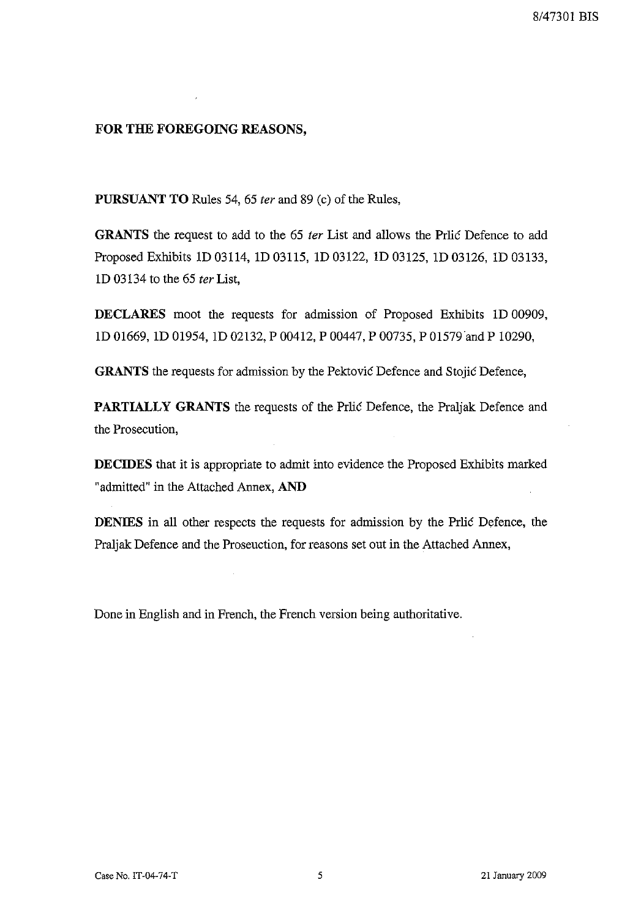### **FOR THE FOREGOING REASONS,**

**PURSUANT TO** Rules 54, 65 *ter* and 89 (c) of the Rules,

**GRANTS** the request to add to the 65 *ter* List and allows the Prlic Defence to add Proposed Exhibits 10 03114, 10 03115, 10 03122, 10 03125, 10 03126, 10 03133, 10 03134 to the 65 *ter* List,

**DECLARES** moot the requests for admission of Proposed Exhibits 1D 00909, 10 01669, 10 01954, 10 02132, P 00412, P 00447, P 00735, P 01579 and P 10290,

**GRANTS** the requests for admission by the Pektovic Defence and Stojic Defence,

**PARTIALLY GRANTS** the requests of the Prlic Defence, the Praljak Defence and the Prosecution,

**DECIDES** that it is appropriate to admit into evidence the Proposed Exhibits marked "admitted" in the Attached Annex, **AND**

**DENIES** in all other respects the requests for admission by the Prlic Defence, the Praljak Defence and the Proseuction, for reasons set out in the Attached Annex,

Done in English and in French, the French version being authoritative.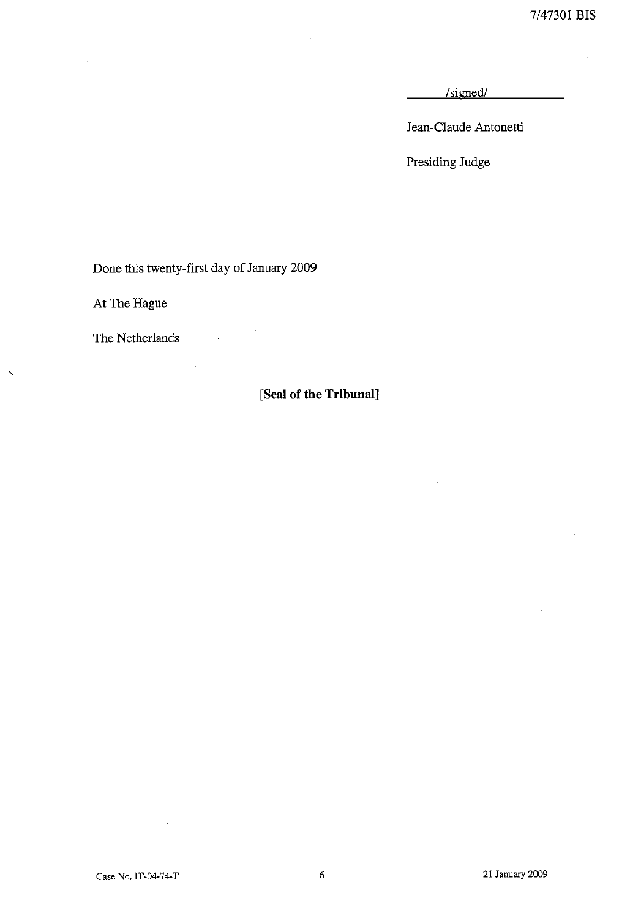7/47301 BIS

/signed/

Jean-Claude Antonetti

Presiding Judge

Done this twenty-first day of January 2009

 $\mathcal{L}_{\mathcal{A}}$ 

At The Hague

The Netherlands

 $\ddot{\phantom{0}}$ 

## **[Seal of the Tribunal]**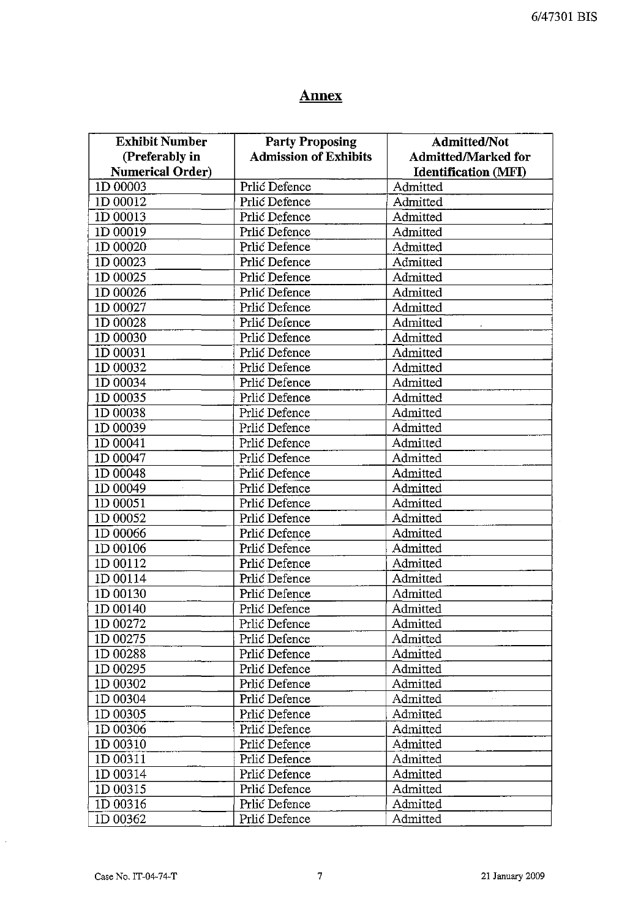# **Annex**

| <b>Exhibit Number</b>   | <b>Party Proposing</b>       | <b>Admitted/Not</b>         |
|-------------------------|------------------------------|-----------------------------|
| (Preferably in          | <b>Admission of Exhibits</b> | <b>Admitted/Marked for</b>  |
| <b>Numerical Order)</b> |                              | <b>Identification (MFI)</b> |
| 1D 00003                | Prlić Defence                | Admitted                    |
| 1D 00012                | Prlić Defence                | Admitted                    |
| 1D 00013                | Prlić Defence                | Admitted                    |
| 1D 00019                | Prlić Defence                | Admitted                    |
| 1D 00020                | Prlić Defence                | Admitted                    |
| 1D 00023                | Prlić Defence                | Admitted                    |
| 1D 00025                | Prlić Defence                | Admitted                    |
| 1D 00026                | Prlić Defence                | Admitted                    |
| 1D 00027                | Prlić Defence                | Admitted                    |
| 1D 00028                | Prlić Defence                | Admitted                    |
| 1D 00030                | Prlić Defence                | Admitted                    |
| 1D 00031                | Prlić Defence                | Admitted                    |
| 1D 00032                | Prlić Defence                | Admitted                    |
| 1D 00034                | Prlić Defence                | Admitted                    |
| 1D 00035                | Prlić Defence                | Admitted                    |
| 1D 00038                | Prlić Defence                | Admitted                    |
|                         |                              | Admitted                    |
| 1D 00039                | Prlić Defence                |                             |
| 1D 00041                | Prlić Defence                | Admitted                    |
| 1D 00047                | Prlić Defence                | Admitted                    |
| 1D 00048                | Prlić Defence                | Admitted                    |
| 1D 00049                | Prlić Defence                | Admitted                    |
| 1D 00051                | Prlić Defence                | Admitted                    |
| 1D 00052                | Prlić Defence                | Admitted                    |
| 1D 00066                | Prlić Defence                | Admitted                    |
| 1D 00106                | Prlić Defence                | Admitted                    |
| 1D 00112                | Prlić Defence                | Admitted                    |
| 1D 00114                | Prlić Defence                | Admitted                    |
| 1D 00130                | Prlić Defence                | Admitted                    |
| 1D 00140                | Prlić Defence                | Admitted                    |
| 1D 00272                | Prlić Defence                | Admitted                    |
| 1D 00275                | Prlić Defence                | Admitted                    |
| 1D 00288                | Prlić Defence                | Admitted                    |
| 1D 00295                | Prlić Defence                | Admitted                    |
| 1D 00302                | Prlić Defence                | Admitted                    |
| 1D 00304                | Prlić Defence                | Admitted                    |
| 1D 00305                | Prlić Defence                | Admitted                    |
| 1D 00306                | Prlić Defence                | Admitted                    |
| 1D 00310                | Prlić Defence                | Admitted                    |
| 1D 00311                | Prlić Defence                | Admitted                    |
|                         |                              |                             |
| 1D 00314                | Prlić Defence                | Admitted                    |
| 1D 00315                | Prlić Defence                | Admitted                    |
| 1D 00316                | Prlić Defence                | Admitted                    |
| 1D 00362                | Prlić Defence                | Admitted                    |

 $\hat{\mathcal{A}}$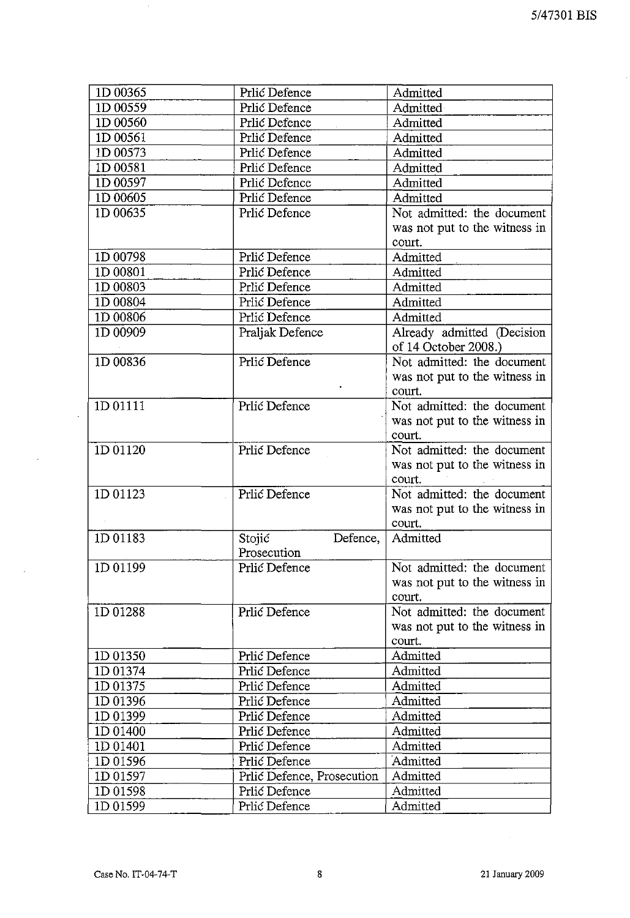J.

| 1D 00365 | Prlić Defence              | Admitted                                                              |
|----------|----------------------------|-----------------------------------------------------------------------|
| 1D 00559 | Prlić Defence              | Admitted                                                              |
| 1D 00560 | Prlić Defence              | Admitted                                                              |
| 1D 00561 | Prlić Defence              | Admitted                                                              |
| 1D 00573 | Prlić Defence              | Admitted                                                              |
| 1D 00581 | Prlić Defence              | Admitted                                                              |
| 1D 00597 | Prlić Defence              | Admitted                                                              |
| 1D 00605 | Prlić Defence              | Admitted                                                              |
| 1D 00635 | Prlić Defence              | Not admitted: the document                                            |
|          |                            | was not put to the witness in                                         |
|          |                            | court.                                                                |
| 1D 00798 | Prlić Defence              | Admitted                                                              |
| 1D 00801 | Prlić Defence              | Admitted                                                              |
| 1D 00803 | Prlić Defence              | Admitted                                                              |
| 1D 00804 | Prlić Defence              | Admitted                                                              |
| 1D 00806 | Prlić Defence              | Admitted                                                              |
| 1D 00909 | Praljak Defence            | Already admitted (Decision<br>of 14 October 2008.)                    |
| 1D 00836 | Prlić Defence              | Not admitted: the document<br>was not put to the witness in<br>court. |
| 1D 01111 | Prlić Defence              | Not admitted: the document                                            |
|          |                            | was not put to the witness in<br>court.                               |
| ID 01120 | Prlić Defence              | Not admitted: the document                                            |
|          |                            | was not put to the witness in<br>court.                               |
| 1D 01123 | Prlić Defence              | Not admitted: the document                                            |
|          |                            | was not put to the witness in<br>court.                               |
| 1D 01183 | Stojić<br>Defence,         | Admitted                                                              |
|          | Prosecution                |                                                                       |
| 1D 01199 | Prlić Defence              | Not admitted: the document                                            |
|          |                            | was not put to the witness in                                         |
|          |                            | court.                                                                |
| 1D 01288 | Prlić Defence              | Not admitted: the document                                            |
|          |                            | was not put to the witness in                                         |
|          |                            | court.                                                                |
| 1D 01350 | Prlić Defence              | Admitted                                                              |
| 1D 01374 | Prlić Defence              | Admitted                                                              |
| 1D 01375 | Prlić Defence              | Admitted                                                              |
| 1D 01396 | Prlić Defence              | Admitted                                                              |
| 1D 01399 | Prlić Defence              | Admitted                                                              |
| 1D 01400 | Prlić Defence              | Admitted                                                              |
| 1D 01401 | Prlić Defence              | Admitted                                                              |
| 1D 01596 | Prlić Defence              | Admitted                                                              |
| 1D 01597 | Prlić Defence, Prosecution | Admitted                                                              |
| 1D 01598 | Prlić Defence              | Admitted                                                              |
| 1D 01599 | Prlić Defence              | Admitted                                                              |
|          |                            |                                                                       |

 $\mathcal{A}$ 

 $\bar{\gamma}$ 

 $\hat{\boldsymbol{\beta}}$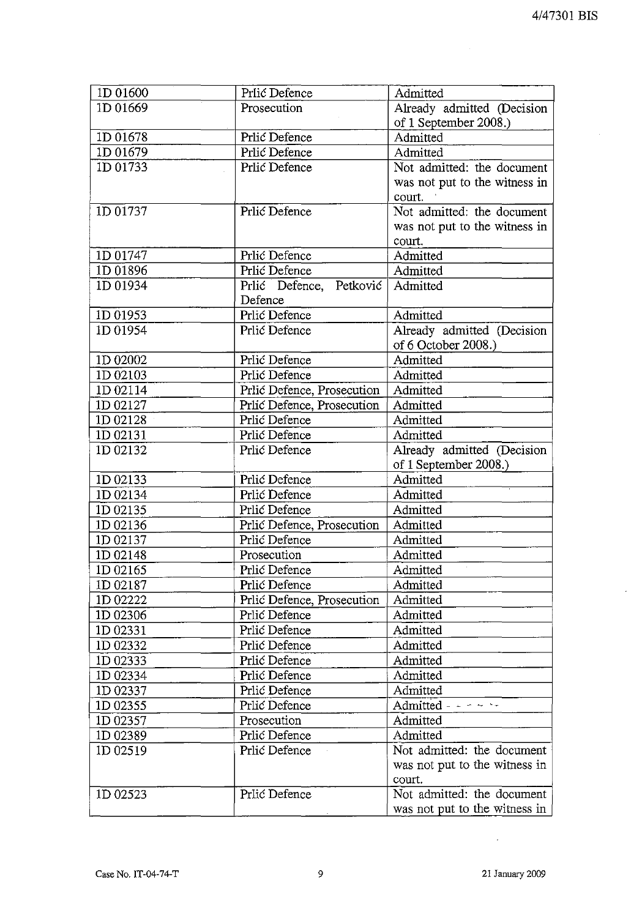$\mathcal{L}$ 

| 1D 01600 | Prlić Defence              | Admitted                      |
|----------|----------------------------|-------------------------------|
| 1D 01669 | Prosecution                | Already admitted (Decision    |
|          |                            | of 1 September 2008.)         |
| 1D 01678 | Prlić Defence              | Admitted                      |
| ID 01679 | Prlić Defence              | Admitted                      |
| ID 01733 | Prlić Defence              | Not admitted: the document    |
|          |                            | was not put to the witness in |
|          |                            | court.                        |
| ID 01737 | Prlić Defence              | Not admitted: the document    |
|          |                            | was not put to the witness in |
|          |                            | court.                        |
| 1D 01747 | Prlić Defence              | Admitted                      |
| 1D 01896 | Prlić Defence              | Admitted                      |
| 1D 01934 | Prlić Defence, Petković    | Admitted                      |
|          | Defence                    |                               |
| ID 01953 | Prlić Defence              | Admitted                      |
| 1D 01954 | Prlić Defence              | Already admitted (Decision    |
|          |                            | of 6 October 2008.)           |
| 1D 02002 | Prlić Defence              | Admitted                      |
| 1D 02103 | Prlić Defence              | Admitted                      |
| 1D 02114 | Prlić Defence, Prosecution | Admitted                      |
| 1D 02127 | Prlić Defence, Prosecution | Admitted                      |
| 1D 02128 | Prlić Defence              | Admitted                      |
| 1D 02131 | Prlić Defence              | Admitted                      |
| ID 02132 | Prlić Defence              | Already admitted (Decision    |
|          |                            | of 1 September 2008.)         |
| 1D 02133 | Prlić Defence              | Admitted                      |
| 1D 02134 | Prlić Defence              | Admitted                      |
| 1D 02135 | Prlić Defence              | Admitted                      |
| 1D 02136 | Prlić Defence, Prosecution | Admitted                      |
| 1D 02137 | Prlić Defence              | Admitted                      |
| 1D 02148 | Prosecution                | Admitted                      |
| 1D 02165 | Prlić Defence              | Admitted                      |
| 1D 02187 | Prlić Defence              | Admitted                      |
| 1D 02222 | Prlić Defence, Prosecution | Admitted                      |
| 1D 02306 | Prlić Defence              | Admitted                      |
| 1D 02331 | Prlić Defence              | Admitted                      |
| 1D 02332 | Prlić Defence              | Admitted                      |
| ID 02333 | Prlić Defence              | Admitted                      |
| ID 02334 | Prlić Defence              | Admitted                      |
| ID 02337 | Prlić Defence              | Admitted                      |
| 1D 02355 | Prlić Defence              | Admitted $- - -$              |
| 1D 02357 | Prosecution                | Admitted                      |
| 1D 02389 | Prlić Defence              | Admitted                      |
| ID 02519 | Prlić Defence              | Not admitted: the document    |
|          |                            | was not put to the witness in |
|          |                            | court.                        |
| 1D 02523 | Prlić Defence              | Not admitted: the document    |
|          |                            | was not put to the witness in |

 $\sim 10^{-11}$ 

 $\bar{\mathcal{L}}$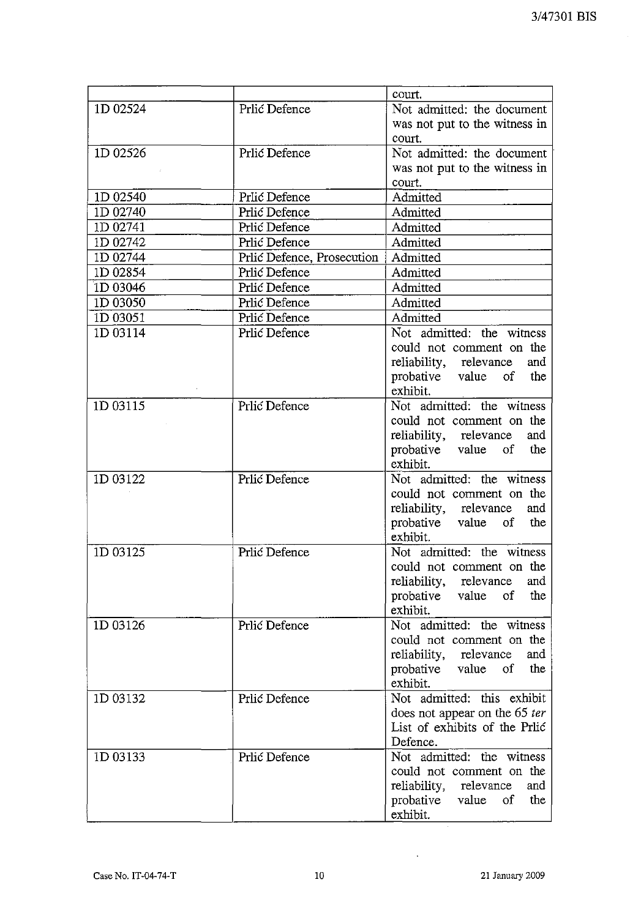|          |                            | court.                        |
|----------|----------------------------|-------------------------------|
| 1D 02524 | Prlić Defence              | Not admitted: the document    |
|          |                            | was not put to the witness in |
|          |                            | court.                        |
| 1D 02526 | Prlić Defence              | Not admitted: the document    |
|          |                            | was not put to the witness in |
|          |                            | court.                        |
| 1D 02540 | Prlić Defence              | Admitted                      |
| 1D 02740 | Prlić Defence              | Admitted                      |
| 1D 02741 | Prlić Defence              | Admitted                      |
| 1D 02742 | Prlić Defence              | Admitted                      |
| 1D 02744 | Prlić Defence, Prosecution | Admitted                      |
| 1D 02854 | Prlić Defence              | Admitted                      |
| ID 03046 | Prlić Defence              | Admitted                      |
| ID 03050 | Prlić Defence              | Admitted                      |
| 1D 03051 | Prlić Defence              | Admitted                      |
| 1D 03114 | Prlić Defence              | Not admitted: the witness     |
|          |                            | could not comment on the      |
|          |                            | reliability, relevance<br>and |
|          |                            | probative value of<br>the     |
|          |                            | exhibit.                      |
| 1D 03115 | Prlić Defence              | Not admitted: the witness     |
|          |                            | could not comment on the      |
|          |                            | reliability, relevance<br>and |
|          |                            | probative value of<br>the     |
|          |                            | exhibit.                      |
| 1D 03122 | Prlić Defence              | Not admitted: the witness     |
|          |                            | could not comment on the      |
|          |                            | reliability, relevance<br>and |
|          |                            | probative value of<br>the     |
|          |                            | exhibit.                      |
| 1D 03125 | Prlić Defence              | Not admitted: the witness     |
|          |                            | could not comment on the      |
|          |                            | reliability, relevance<br>and |
|          |                            | probative value<br>the<br>of  |
|          |                            | exhibit.                      |
| 1D 03126 | Prlić Defence              | Not admitted: the witness     |
|          |                            | could not comment on the      |
|          |                            | reliability, relevance<br>and |
|          |                            | the<br>probative value<br>of  |
|          |                            | exhibit.                      |
| 1D 03132 | Prlić Defence              | Not admitted: this exhibit    |
|          |                            | does not appear on the 65 ter |
|          |                            | List of exhibits of the Prlić |
|          |                            | Defence.                      |
| 1D 03133 | Prlić Defence              | Not admitted: the witness     |
|          |                            | could not comment on the      |
|          |                            | reliability, relevance<br>and |
|          |                            | probative value<br>of<br>the  |
|          |                            | exhibit.                      |

 $\sim$   $\sim$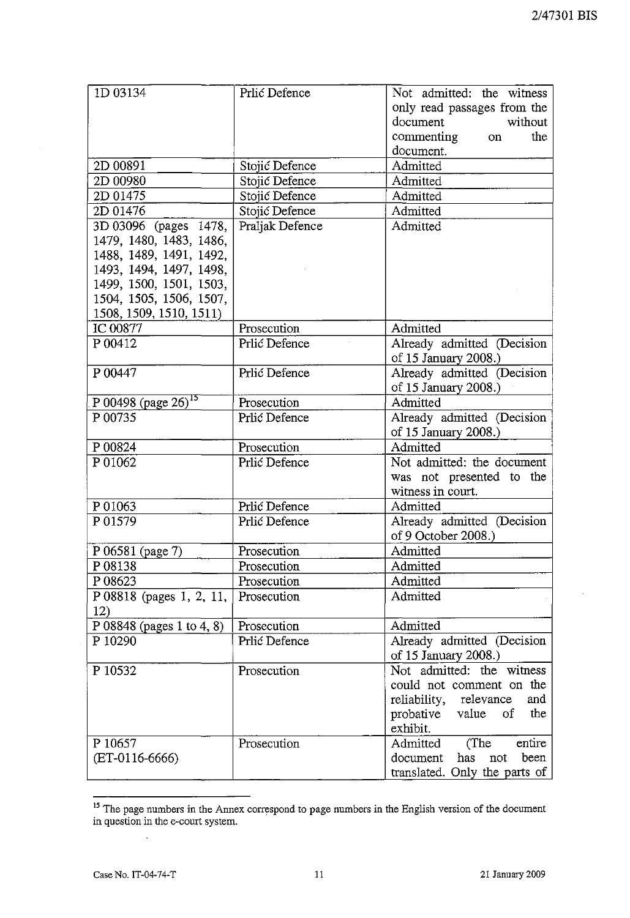| 1D 03134                          | Prlić Defence   | Not admitted: the witness<br>only read passages from the<br>document<br>without<br>commenting<br>the<br>on<br>document. |
|-----------------------------------|-----------------|-------------------------------------------------------------------------------------------------------------------------|
| 2D 00891                          | Stojić Defence  | Admitted                                                                                                                |
| 2D 00980                          | Stojić Defence  | Admitted                                                                                                                |
| 2D 01475                          | Stojić Defence  | Admitted                                                                                                                |
| 2D 01476                          | Stojić Defence  | Admitted                                                                                                                |
| 3D 03096 (pages 1478,             | Praljak Defence | Admitted                                                                                                                |
| 1479, 1480, 1483, 1486,           |                 |                                                                                                                         |
| 1488, 1489, 1491, 1492,           |                 |                                                                                                                         |
| 1493, 1494, 1497, 1498,           |                 |                                                                                                                         |
| 1499, 1500, 1501, 1503,           |                 |                                                                                                                         |
| 1504, 1505, 1506, 1507,           |                 |                                                                                                                         |
| 1508, 1509, 1510, 1511)           |                 |                                                                                                                         |
| IC 00877                          | Prosecution     | Admitted                                                                                                                |
| P 00412                           | Prlić Defence   | Already admitted (Decision                                                                                              |
|                                   |                 | of 15 January 2008.)                                                                                                    |
| P 00447                           | Prlić Defence   | Already admitted (Decision                                                                                              |
|                                   |                 | of 15 January 2008.)                                                                                                    |
| $P 00498$ (page 26) <sup>15</sup> | Prosecution     | Admitted                                                                                                                |
| P 00735                           | Prlić Defence   | Already admitted (Decision                                                                                              |
|                                   |                 | of 15 January 2008.)                                                                                                    |
| P 00824                           | Prosecution     | Admitted                                                                                                                |
| P 01062                           | Prlić Defence   | Not admitted: the document                                                                                              |
|                                   |                 | was not presented to the                                                                                                |
|                                   |                 | witness in court.                                                                                                       |
| P 01063                           | Prlić Defence   | Admitted                                                                                                                |
| P 01579                           | Prlić Defence   | Already admitted (Decision                                                                                              |
|                                   |                 | of 9 October 2008.)                                                                                                     |
| P 06581 (page 7)                  | Prosecution     | Admitted                                                                                                                |
| P 08138                           | Prosecution     | Admitted                                                                                                                |
| P 08623                           | Prosecution     | Admitted                                                                                                                |
| P 08818 (pages 1, 2, 11,          | Prosecution     | Admitted                                                                                                                |
| 12)                               |                 |                                                                                                                         |
| P 08848 (pages 1 to 4, 8)         | Prosecution     | Admitted                                                                                                                |
| P 10290                           | Prlić Defence   | Already admitted (Decision                                                                                              |
|                                   |                 | of 15 January 2008.)                                                                                                    |
| P 10532                           | Prosecution     | Not admitted: the witness                                                                                               |
|                                   |                 | could not comment on the                                                                                                |
|                                   |                 | relevance<br>reliability,<br>and                                                                                        |
|                                   |                 | the<br>probative value of                                                                                               |
|                                   |                 | exhibit.                                                                                                                |
| P 10657                           | Prosecution     | (The<br>Admitted<br>entire                                                                                              |
| (ET-0116-6666)                    |                 | has<br>document<br>been<br>not                                                                                          |
|                                   |                 | translated. Only the parts of                                                                                           |

<sup>&</sup>lt;sup>15</sup> The page numbers in the Annex correspond to page numbers in the English version of the document **in question in the** e-court **system.**

 $\bar{z}$